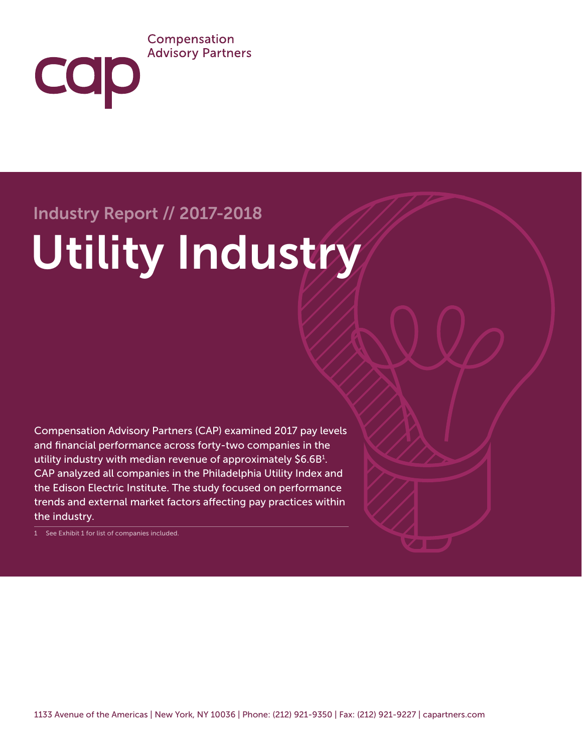#### Compensation **Advisory Partners**

# Industry Report // 2017-2018

cap

# Utility Industry

Compensation Advisory Partners (CAP) examined 2017 pay levels and financial performance across forty-two companies in the utility industry with median revenue of approximately \$6.6B1 . CAP analyzed all companies in the Philadelphia Utility Index and the Edison Electric Institute. The study focused on performance trends and external market factors affecting pay practices within the industry.

1 See Exhibit 1 for list of companies included.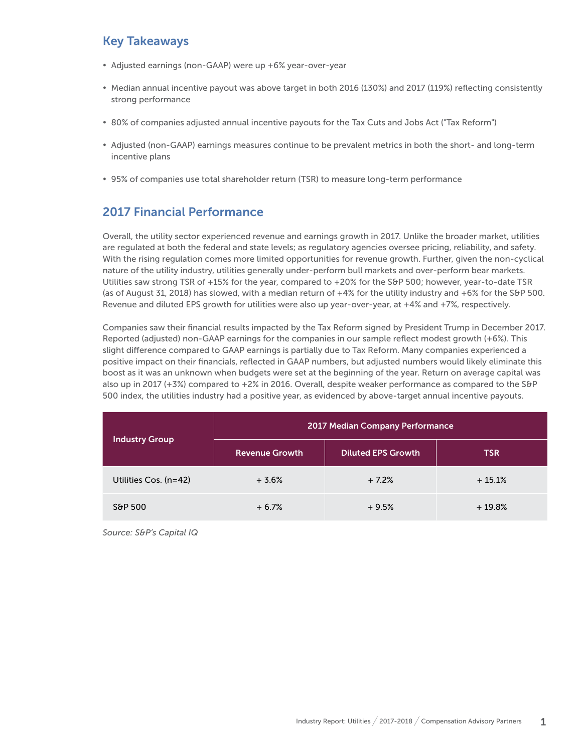#### Key Takeaways

- Adjusted earnings (non-GAAP) were up +6% year-over-year
- y Median annual incentive payout was above target in both 2016 (130%) and 2017 (119%) reflecting consistently strong performance
- 80% of companies adjusted annual incentive payouts for the Tax Cuts and Jobs Act ("Tax Reform")
- Adjusted (non-GAAP) earnings measures continue to be prevalent metrics in both the short- and long-term incentive plans
- 95% of companies use total shareholder return (TSR) to measure long-term performance

#### 2017 Financial Performance

Overall, the utility sector experienced revenue and earnings growth in 2017. Unlike the broader market, utilities are regulated at both the federal and state levels; as regulatory agencies oversee pricing, reliability, and safety. With the rising regulation comes more limited opportunities for revenue growth. Further, given the non-cyclical nature of the utility industry, utilities generally under-perform bull markets and over-perform bear markets. Utilities saw strong TSR of +15% for the year, compared to +20% for the S&P 500; however, year-to-date TSR (as of August 31, 2018) has slowed, with a median return of  $+4%$  for the utility industry and  $+6%$  for the S&P 500. Revenue and diluted EPS growth for utilities were also up year-over-year, at +4% and +7%, respectively.

Companies saw their financial results impacted by the Tax Reform signed by President Trump in December 2017. Reported (adjusted) non-GAAP earnings for the companies in our sample reflect modest growth (+6%). This slight difference compared to GAAP earnings is partially due to Tax Reform. Many companies experienced a positive impact on their financials, reflected in GAAP numbers, but adjusted numbers would likely eliminate this boost as it was an unknown when budgets were set at the beginning of the year. Return on average capital was also up in 2017 (+3%) compared to +2% in 2016. Overall, despite weaker performance as compared to the S&P 500 index, the utilities industry had a positive year, as evidenced by above-target annual incentive payouts.

| <b>Industry Group</b> | 2017 Median Company Performance |                           |            |
|-----------------------|---------------------------------|---------------------------|------------|
|                       | <b>Revenue Growth</b>           | <b>Diluted EPS Growth</b> | <b>TSR</b> |
| Utilities Cos. (n=42) | $+3.6%$                         | $+7.2%$                   | $+15.1%$   |
| S&P 500               | $+6.7%$                         | $+9.5%$                   | $+19.8%$   |

*Source: S&P's Capital IQ*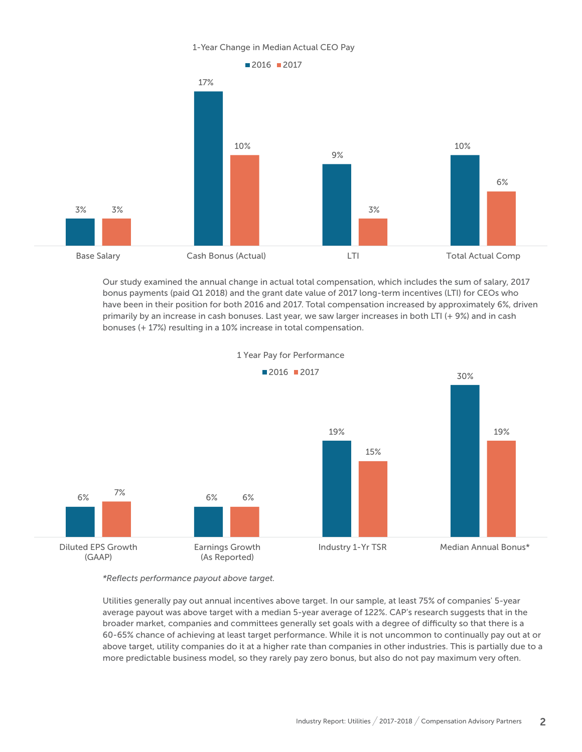#### 1-Year Change in Median Actual CEO Pay



Our study examined the annual change in actual total compensation, which includes the sum of salary, 2017 bonus payments (paid Q1 2018) and the grant date value of 2017 long-term incentives (LTI) for CEOs who have been in their position for both 2016 and 2017. Total compensation increased by approximately 6%, driven primarily by an increase in cash bonuses. Last year, we saw larger increases in both LTI (+ 9%) and in cash bonuses (+ 17%) resulting in a 10% increase in total compensation.



1 Year Pay for Performance

*\*Reflects performance payout above target.* 

Utilities generally pay out annual incentives above target. In our sample, at least 75% of companies' 5-year average payout was above target with a median 5-year average of 122%. CAP's research suggests that in the broader market, companies and committees generally set goals with a degree of difficulty so that there is a 60-65% chance of achieving at least target performance. While it is not uncommon to continually pay out at or above target, utility companies do it at a higher rate than companies in other industries. This is partially due to a more predictable business model, so they rarely pay zero bonus, but also do not pay maximum very often.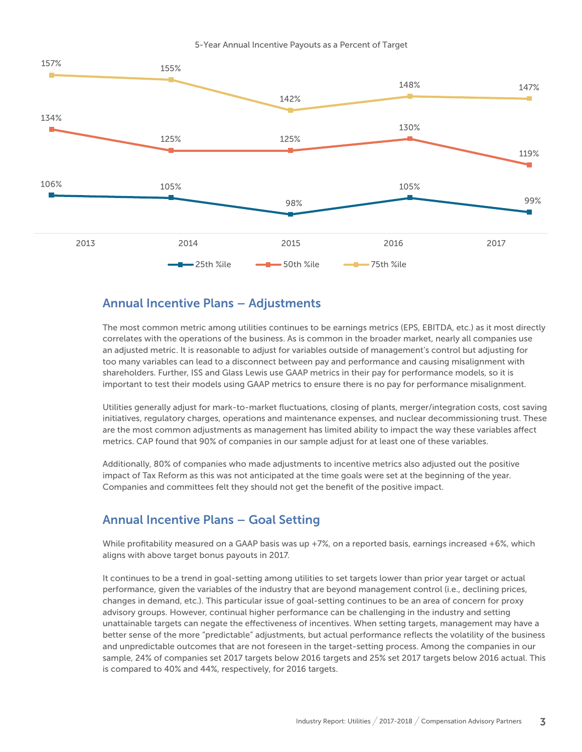

#### Annual Incentive Plans – Adjustments

The most common metric among utilities continues to be earnings metrics (EPS, EBITDA, etc.) as it most directly correlates with the operations of the business. As is common in the broader market, nearly all companies use an adjusted metric. It is reasonable to adjust for variables outside of management's control but adjusting for too many variables can lead to a disconnect between pay and performance and causing misalignment with shareholders. Further, ISS and Glass Lewis use GAAP metrics in their pay for performance models, so it is important to test their models using GAAP metrics to ensure there is no pay for performance misalignment.

Utilities generally adjust for mark-to-market fluctuations, closing of plants, merger/integration costs, cost saving initiatives, regulatory charges, operations and maintenance expenses, and nuclear decommissioning trust. These are the most common adjustments as management has limited ability to impact the way these variables affect metrics. CAP found that 90% of companies in our sample adjust for at least one of these variables.

Additionally, 80% of companies who made adjustments to incentive metrics also adjusted out the positive impact of Tax Reform as this was not anticipated at the time goals were set at the beginning of the year. Companies and committees felt they should not get the benefit of the positive impact.

#### Annual Incentive Plans – Goal Setting

While profitability measured on a GAAP basis was up +7%, on a reported basis, earnings increased +6%, which aligns with above target bonus payouts in 2017.

It continues to be a trend in goal-setting among utilities to set targets lower than prior year target or actual performance, given the variables of the industry that are beyond management control (i.e., declining prices, changes in demand, etc.). This particular issue of goal-setting continues to be an area of concern for proxy advisory groups. However, continual higher performance can be challenging in the industry and setting unattainable targets can negate the effectiveness of incentives. When setting targets, management may have a better sense of the more "predictable" adjustments, but actual performance reflects the volatility of the business and unpredictable outcomes that are not foreseen in the target-setting process. Among the companies in our sample, 24% of companies set 2017 targets below 2016 targets and 25% set 2017 targets below 2016 actual. This is compared to 40% and 44%, respectively, for 2016 targets.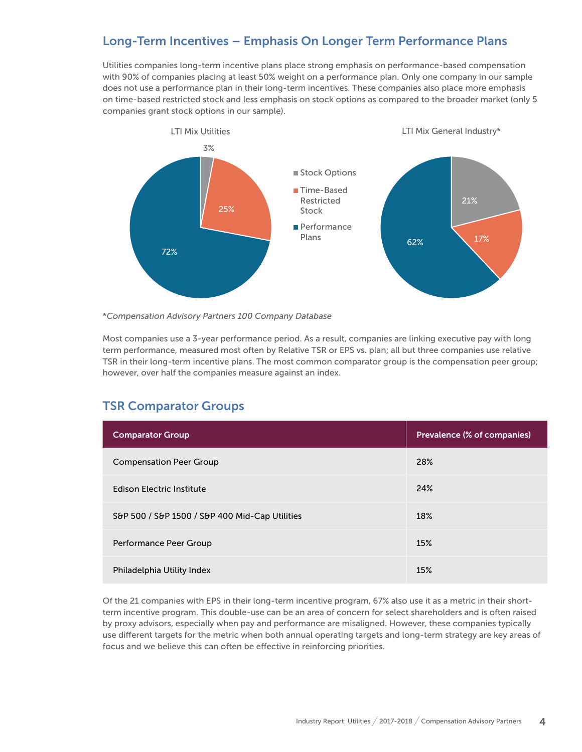## Long-Term Incentives – Emphasis On Longer Term Performance Plans

Utilities companies long-term incentive plans place strong emphasis on performance-based compensation with 90% of companies placing at least 50% weight on a performance plan. Only one company in our sample does not use a performance plan in their long-term incentives. These companies also place more emphasis on time-based restricted stock and less emphasis on stock options as compared to the broader market (only 5 companies grant stock options in our sample).



\**Compensation Advisory Partners 100 Company Database*

Most companies use a 3-year performance period. As a result, companies are linking executive pay with long term performance, measured most often by Relative TSR or EPS vs. plan; all but three companies use relative TSR in their long-term incentive plans. The most common comparator group is the compensation peer group; however, over half the companies measure against an index.

#### TSR Comparator Groups

| <b>Comparator Group</b>                        | Prevalence (% of companies) |
|------------------------------------------------|-----------------------------|
| <b>Compensation Peer Group</b>                 | 28%                         |
| <b>Edison Electric Institute</b>               | 24%                         |
| S&P 500 / S&P 1500 / S&P 400 Mid-Cap Utilities | 18%                         |
| Performance Peer Group                         | 15%                         |
| Philadelphia Utility Index                     | 15%                         |

Of the 21 companies with EPS in their long-term incentive program, 67% also use it as a metric in their shortterm incentive program. This double-use can be an area of concern for select shareholders and is often raised by proxy advisors, especially when pay and performance are misaligned. However, these companies typically use different targets for the metric when both annual operating targets and long-term strategy are key areas of focus and we believe this can often be effective in reinforcing priorities.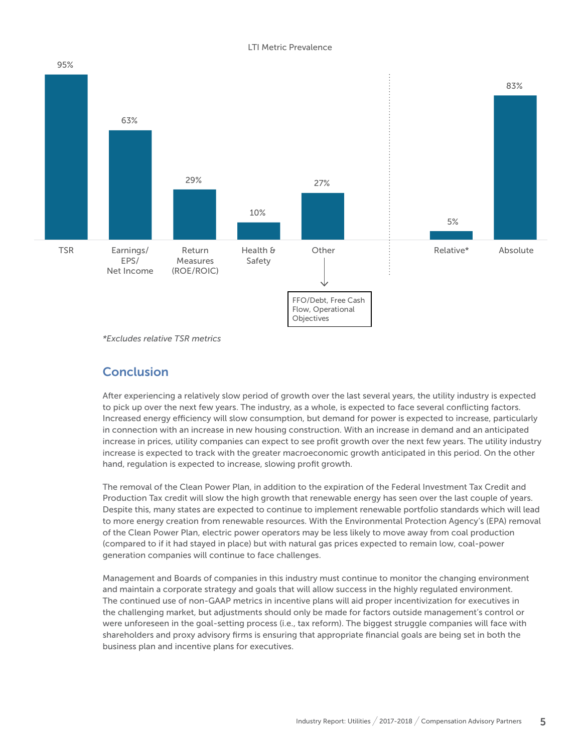#### LTI Metric Prevalence



*\*Excludes relative TSR metrics*

#### **Conclusion**

After experiencing a relatively slow period of growth over the last several years, the utility industry is expected to pick up over the next few years. The industry, as a whole, is expected to face several conflicting factors. Increased energy efficiency will slow consumption, but demand for power is expected to increase, particularly in connection with an increase in new housing construction. With an increase in demand and an anticipated increase in prices, utility companies can expect to see profit growth over the next few years. The utility industry increase is expected to track with the greater macroeconomic growth anticipated in this period. On the other hand, regulation is expected to increase, slowing profit growth.

The removal of the Clean Power Plan, in addition to the expiration of the Federal Investment Tax Credit and Production Tax credit will slow the high growth that renewable energy has seen over the last couple of years. Despite this, many states are expected to continue to implement renewable portfolio standards which will lead to more energy creation from renewable resources. With the Environmental Protection Agency's (EPA) removal of the Clean Power Plan, electric power operators may be less likely to move away from coal production (compared to if it had stayed in place) but with natural gas prices expected to remain low, coal-power generation companies will continue to face challenges.

Management and Boards of companies in this industry must continue to monitor the changing environment and maintain a corporate strategy and goals that will allow success in the highly regulated environment. The continued use of non-GAAP metrics in incentive plans will aid proper incentivization for executives in the challenging market, but adjustments should only be made for factors outside management's control or were unforeseen in the goal-setting process (i.e., tax reform). The biggest struggle companies will face with shareholders and proxy advisory firms is ensuring that appropriate financial goals are being set in both the business plan and incentive plans for executives.